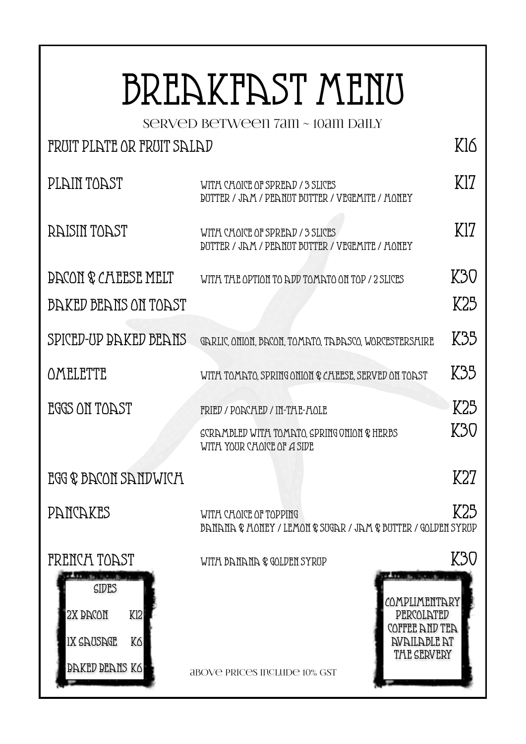## BREAKFAST MENU

served between 7am ~ 10am daily

## FRUIT PLATE OR FRUIT SALAD

| PLAIN TOAST                                                                  | WITH CHOICE OF SPREAD / 3 SLICES<br>DUTTER / JAM / PEANUT BUTTER / VEGEMITE / HONEY                                                      |     |  |
|------------------------------------------------------------------------------|------------------------------------------------------------------------------------------------------------------------------------------|-----|--|
| RAISIN TOAST                                                                 | WITH CHOICE OF SPREAD / 3 SLICES<br>DUTTER / JAM / PEANUT BUTTER / VEGEMITE / HONEY                                                      |     |  |
| <b>DACON &amp; CALLESE MELT</b>                                              | WITH THE OPTION TO ADD TOMATO ON TOP / 2 SLICES                                                                                          | K30 |  |
| BAKED BEANS ON TOAST                                                         |                                                                                                                                          | K25 |  |
| SPICED-UP BAKED BEANS                                                        | GARLIC, ONION, BACON, TOMATO, TABASCO, WORCESTERSAIRE                                                                                    | K35 |  |
| OMELETTE                                                                     | WITA TOMATO, SPRING ONION & CALLESL, SERVED ON TOAST                                                                                     | K35 |  |
| EGGS ON TOAST                                                                | <b>FRIED / PONCAED / IN-TAE-AOLE</b>                                                                                                     | K25 |  |
|                                                                              | SCRAMBLED WITH TOMATO, SPRING ONION & HERBS<br>WITH YOUR CHOICE OF A SIDE                                                                | K30 |  |
| EGG & BACON SANDWICH                                                         |                                                                                                                                          | K27 |  |
| PANCAKES                                                                     | WITH CHOICE OF TOPPING<br><b>BANANA &amp; HONEY / LEMON &amp; SUGAR / JAM &amp; BUTTER / GOLDEN SYRUP</b>                                | K25 |  |
| FRENCH TOAST                                                                 | WITA BANANA & GOLDEN SYRUP                                                                                                               | K30 |  |
| SIDES<br>2X BACON<br>Kl2<br>IX SAUSAGE<br>Kб<br><b><i>BAKED BEANS K6</i></b> | COMPLIMENTARY<br>PERCOLATED<br>COFFEE AND TEA<br><b><i>NVAILABLE AT</i></b><br><b>THE SERVERY</b><br><b>ABOVE PRICES INCLUDE 10% GST</b> |     |  |